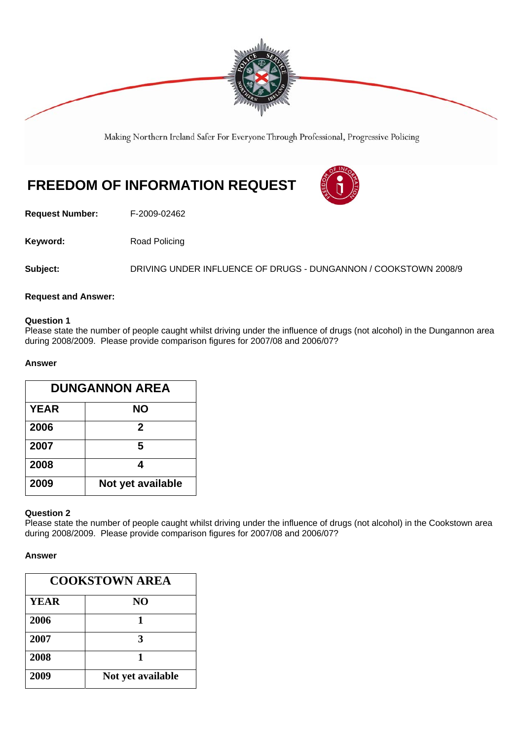

Making Northern Ireland Safer For Everyone Through Professional, Progressive Policing

# **FREEDOM OF INFORMATION REQUEST**



**Request Number:** F-2009-02462

Keyword: Road Policing

Subject: DRIVING UNDER INFLUENCE OF DRUGS - DUNGANNON / COOKSTOWN 2008/9

### **Request and Answer:**

#### **Question 1**

Please state the number of people caught whilst driving under the influence of drugs (not alcohol) in the Dungannon area during 2008/2009. Please provide comparison figures for 2007/08 and 2006/07?

### **Answer**

| <b>DUNGANNON AREA</b> |                   |
|-----------------------|-------------------|
| <b>YEAR</b>           | <b>NO</b>         |
| 2006                  | 2                 |
| 2007                  | 5                 |
| 2008                  | 4                 |
| 2009                  | Not yet available |

## **Question 2**

Please state the number of people caught whilst driving under the influence of drugs (not alcohol) in the Cookstown area during 2008/2009. Please provide comparison figures for 2007/08 and 2006/07?

### **Answer**

| <b>COOKSTOWN AREA</b> |                   |
|-----------------------|-------------------|
| <b>YEAR</b>           | N <sub>O</sub>    |
| 2006                  | 1                 |
| 2007                  | $\mathbf{3}$      |
| 2008                  | 1                 |
| 2009                  | Not yet available |